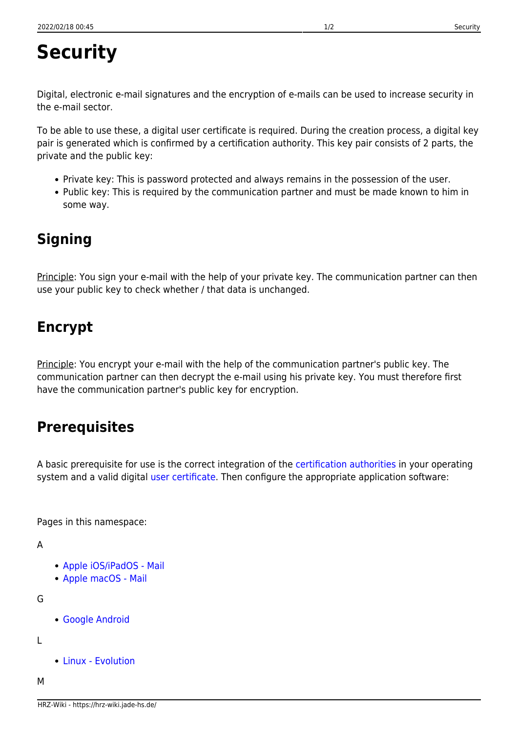## **Security**

Digital, electronic e-mail signatures and the encryption of e-mails can be used to increase security in the e-mail sector.

To be able to use these, a digital user certificate is required. During the creation process, a digital key pair is generated which is confirmed by a certification authority. This key pair consists of 2 parts, the private and the public key:

- Private key: This is password protected and always remains in the possession of the user.
- Public key: This is required by the communication partner and must be made known to him in some way.

## **Signing**

Principle: You sign your e-mail with the help of your private key. The communication partner can then use your public key to check whether / that data is unchanged.

## **Encrypt**

Principle: You encrypt your e-mail with the help of the communication partner's public key. The communication partner can then decrypt the e-mail using his private key. You must therefore first have the communication partner's public key for encryption.

## **Prerequisites**

A basic prerequisite for use is the correct integration of the [certification authorities](https://hrz-wiki.jade-hs.de/en/tp/certificates/ca) in your operating system and a valid digital [user certificate.](https://hrz-wiki.jade-hs.de/en/tp/certificates/usercert) Then configure the appropriate application software:

Pages in this namespace:

```
A
```
- [Apple iOS/iPadOS Mail](https://hrz-wiki.jade-hs.de/en/tp/email/security/apple-ios)
- [Apple macOS Mail](https://hrz-wiki.jade-hs.de/en/tp/email/security/apple-macos-mail)

G

[Google Android](https://hrz-wiki.jade-hs.de/en/tp/email/security/google-android)

L

[Linux - Evolution](https://hrz-wiki.jade-hs.de/en/tp/email/security/linux-evolution)

M